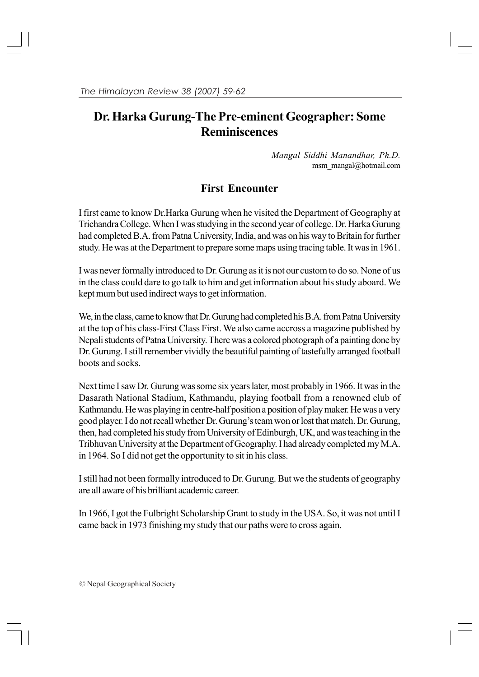# **Dr. Harka Gurung-The Pre-eminent Geographer: Some Reminiscences**

 *Mangal Siddhi Manandhar, Ph.D.* msm\_mangal@hotmail.com

## **First Encounter**

I first came to know Dr.Harka Gurung when he visited the Department of Geography at Trichandra College. When I was studying in the second year of college. Dr. Harka Gurung had completed B.A. from Patna University, India, and was on his way to Britain for further study. He was at the Department to prepare some maps using tracing table. It was in 1961.

I was never formally introduced to Dr. Gurung as it is not our custom to do so. None of us in the class could dare to go talk to him and get information about his study aboard. We kept mum but used indirect ways to get information.

We, in the class, came to know that Dr. Gurung had completed his B.A. from Patna University at the top of his class-First Class First. We also came accross a magazine published by Nepali students of Patna University. There was a colored photograph of a painting done by Dr. Gurung. I still remember vividly the beautiful painting of tastefully arranged football boots and socks.

Next time I saw Dr. Gurung was some six years later, most probably in 1966. It was in the Dasarath National Stadium, Kathmandu, playing football from a renowned club of Kathmandu. He was playing in centre-half position a position of play maker. He was a very good player. I do not recall whether Dr. Gurung's team won or lost that match. Dr. Gurung, then, had completed his study from University of Edinburgh, UK, and was teaching in the Tribhuvan University at the Department of Geography. I had already completed my M.A. in 1964. So I did not get the opportunity to sit in his class.

I still had not been formally introduced to Dr. Gurung. But we the students of geography are all aware of his brilliant academic career.

In 1966, I got the Fulbright Scholarship Grant to study in the USA. So, it was not until I came back in 1973 finishing my study that our paths were to cross again.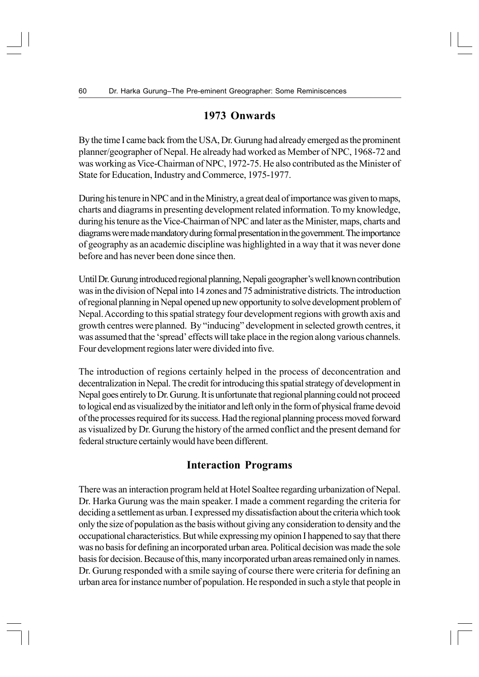## **1973 Onwards**

By the time I came back from the USA, Dr. Gurung had already emerged as the prominent planner/geographer of Nepal. He already had worked as Member of NPC, 1968-72 and was working as Vice-Chairman of NPC, 1972-75. He also contributed as the Minister of State for Education, Industry and Commerce, 1975-1977.

During his tenure in NPC and in the Ministry, a great deal of importance was given to maps, charts and diagrams in presenting development related information. To my knowledge, during his tenure as the Vice-Chairman of NPC and later as the Minister, maps, charts and diagrams were made mandatory during formal presentation in the government. The importance of geography as an academic discipline was highlighted in a way that it was never done before and has never been done since then.

Until Dr. Gurung introduced regional planning, Nepali geographer's well known contribution was in the division of Nepal into 14 zones and 75 administrative districts. The introduction of regional planning in Nepal opened up new opportunity to solve development problem of Nepal. According to this spatial strategy four development regions with growth axis and growth centres were planned. By "inducing" development in selected growth centres, it was assumed that the 'spread' effects will take place in the region along various channels. Four development regions later were divided into five.

The introduction of regions certainly helped in the process of deconcentration and decentralization in Nepal. The credit for introducing this spatial strategy of development in Nepal goes entirely to Dr. Gurung. It is unfortunate that regional planning could not proceed to logical end as visualized by the initiator and left only in the form of physical frame devoid of the processes required for its success. Had the regional planning process moved forward as visualized by Dr. Gurung the history of the armed conflict and the present demand for federal structure certainly would have been different.

## **Interaction Programs**

There was an interaction program held at Hotel Soaltee regarding urbanization of Nepal. Dr. Harka Gurung was the main speaker. I made a comment regarding the criteria for deciding a settlement as urban. I expressed my dissatisfaction about the criteria which took only the size of population as the basis without giving any consideration to density and the occupational characteristics. But while expressing my opinion I happened to say that there was no basis for defining an incorporated urban area. Political decision was made the sole basis for decision. Because of this, many incorporated urban areas remained only in names. Dr. Gurung responded with a smile saying of course there were criteria for defining an urban area for instance number of population. He responded in such a style that people in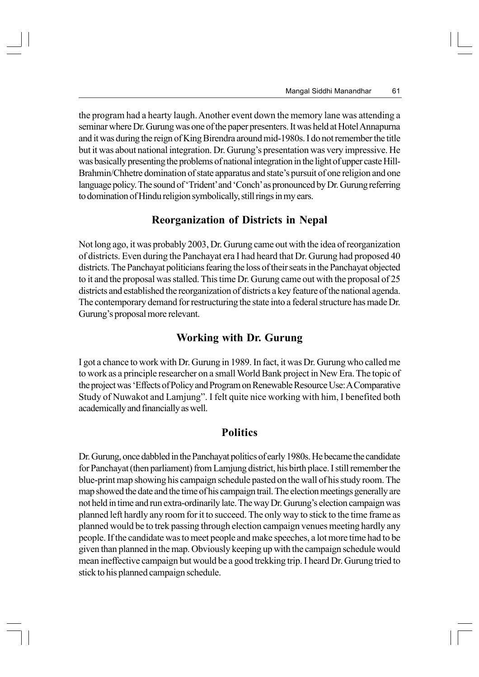the program had a hearty laugh. Another event down the memory lane was attending a seminar where Dr. Gurung was one of the paper presenters. It was held at Hotel Annapurna and it was during the reign of King Birendra around mid-1980s. I do not remember the title but it was about national integration. Dr. Gurung's presentation was very impressive. He was basically presenting the problems of national integration in the light of upper caste Hill-Brahmin/Chhetre domination of state apparatus and state's pursuit of one religion and one language policy. The sound of 'Trident' and 'Conch' as pronounced by Dr. Gurung referring to domination of Hindu religion symbolically, still rings in my ears.

#### **Reorganization of Districts in Nepal**

Not long ago, it was probably 2003, Dr. Gurung came out with the idea of reorganization of districts. Even during the Panchayat era I had heard that Dr. Gurung had proposed 40 districts. The Panchayat politicians fearing the loss of their seats in the Panchayat objected to it and the proposal was stalled. This time Dr. Gurung came out with the proposal of 25 districts and established the reorganization of districts a key feature of the national agenda. The contemporary demand for restructuring the state into a federal structure has made Dr. Gurung's proposal more relevant.

#### **Working with Dr. Gurung**

I got a chance to work with Dr. Gurung in 1989. In fact, it was Dr. Gurung who called me to work as a principle researcher on a small World Bank project in New Era. The topic of the project was 'Effects of Policy and Program on Renewable Resource Use: A Comparative Study of Nuwakot and Lamjung". I felt quite nice working with him, I benefited both academically and financially as well.

#### **Politics**

Dr. Gurung, once dabbled in the Panchayat politics of early 1980s. He became the candidate for Panchayat (then parliament) from Lamjung district, his birth place. I still remember the blue-print map showing his campaign schedule pasted on the wall of his study room. The map showed the date and the time of his campaign trail. The election meetings generally are not held in time and run extra-ordinarily late. The way Dr. Gurung's election campaign was planned left hardly any room for it to succeed. The only way to stick to the time frame as planned would be to trek passing through election campaign venues meeting hardly any people. If the candidate was to meet people and make speeches, a lot more time had to be given than planned in the map. Obviously keeping up with the campaign schedule would mean ineffective campaign but would be a good trekking trip. I heard Dr. Gurung tried to stick to his planned campaign schedule.